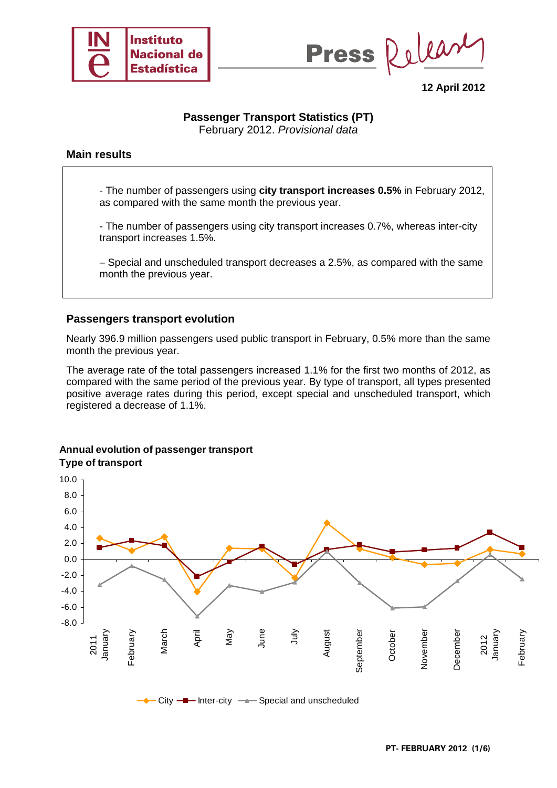



**12 April 2012** 

# **Passenger Transport Statistics (PT)**

February 2012. *Provisional data*

### **Main results**

- The number of passengers using **city transport increases 0.5%** in February 2012, as compared with the same month the previous year.

- The number of passengers using city transport increases 0.7%, whereas inter-city transport increases 1.5%.

− Special and unscheduled transport decreases a 2.5%, as compared with the same month the previous year.

### **Passengers transport evolution**

Nearly 396.9 million passengers used public transport in February, 0.5% more than the same month the previous year.

The average rate of the total passengers increased 1.1% for the first two months of 2012, as compared with the same period of the previous year. By type of transport, all types presented positive average rates during this period, except special and unscheduled transport, which registered a decrease of 1.1%.

#### **Annual evolution of passenger transport Type of transport**

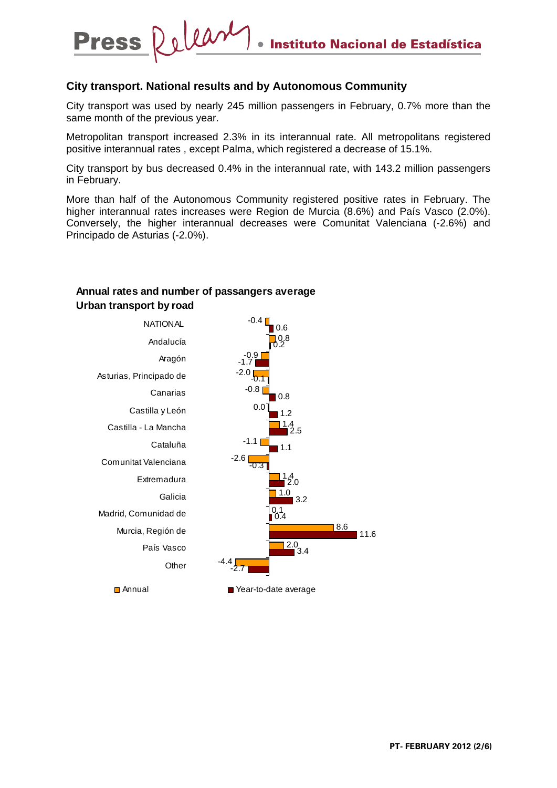### **City transport. National results and by Autonomous Community**

City transport was used by nearly 245 million passengers in February, 0.7% more than the same month of the previous year.

Metropolitan transport increased 2.3% in its interannual rate. All metropolitans registered positive interannual rates , except Palma, which registered a decrease of 15.1%.

City transport by bus decreased 0.4% in the interannual rate, with 143.2 million passengers in February.

More than half of the Autonomous Community registered positive rates in February. The higher interannual rates increases were Region de Murcia (8.6%) and País Vasco (2.0%). Conversely, the higher interannual decreases were Comunitat Valenciana (-2.6%) and Principado de Asturias (-2.0%).



### **Annual rates and number of passangers average Urban transport by road**

Dolear

**Press**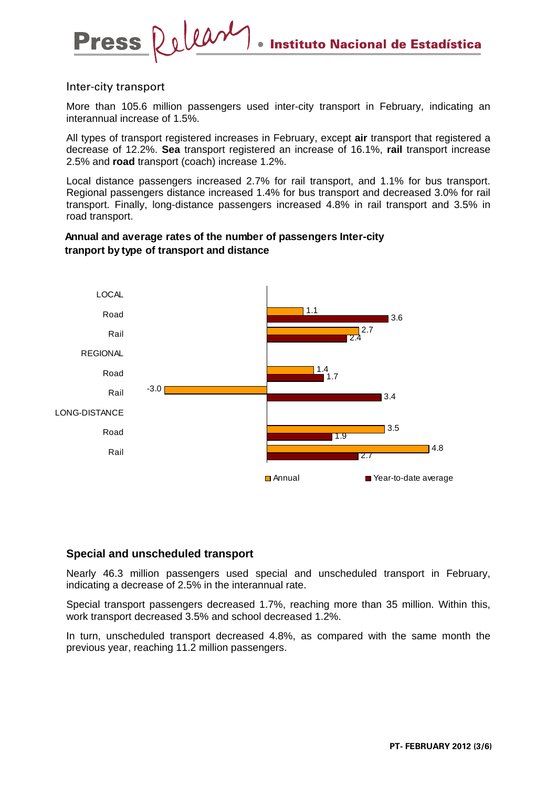### Inter-city transport

More than 105.6 million passengers used inter-city transport in February, indicating an interannual increase of 1.5%.

All types of transport registered increases in February, except **air** transport that registered a decrease of 12.2%. **Sea** transport registered an increase of 16.1%, **rail** transport increase 2.5% and **road** transport (coach) increase 1.2%.

Local distance passengers increased 2.7% for rail transport, and 1.1% for bus transport. Regional passengers distance increased 1.4% for bus transport and decreased 3.0% for rail transport. Finally, long-distance passengers increased 4.8% in rail transport and 3.5% in road transport.

## **Annual and average rates of the number of passengers Inter-city tranport by type of transport and distance**



## **Special and unscheduled transport**

Nearly 46.3 million passengers used special and unscheduled transport in February, indicating a decrease of 2.5% in the interannual rate.

Special transport passengers decreased 1.7%, reaching more than 35 million. Within this, work transport decreased 3.5% and school decreased 1.2%.

In turn, unscheduled transport decreased 4.8%, as compared with the same month the previous year, reaching 11.2 million passengers.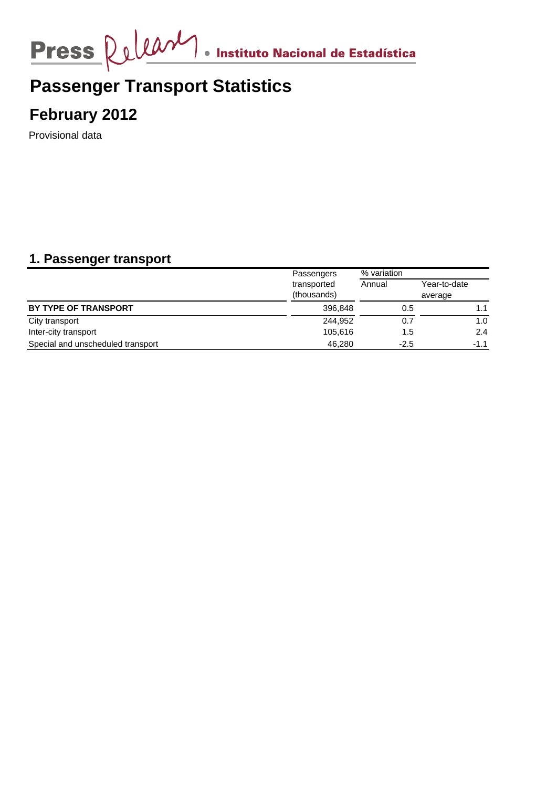

# **Passenger Transport Statistics**

**February 2012**

Provisional data

# **1. Passenger transport**

|                                   | Passengers                 | % variation |                         |
|-----------------------------------|----------------------------|-------------|-------------------------|
|                                   | transported<br>(thousands) | Annual      | Year-to-date<br>average |
| BY TYPE OF TRANSPORT              | 396,848                    | 0.5         |                         |
| City transport                    | 244,952                    | 0.7         | 1.0                     |
| Inter-city transport              | 105,616                    | 1.5         | 2.4                     |
| Special and unscheduled transport | 46.280                     | $-2.5$      | $-1.1$                  |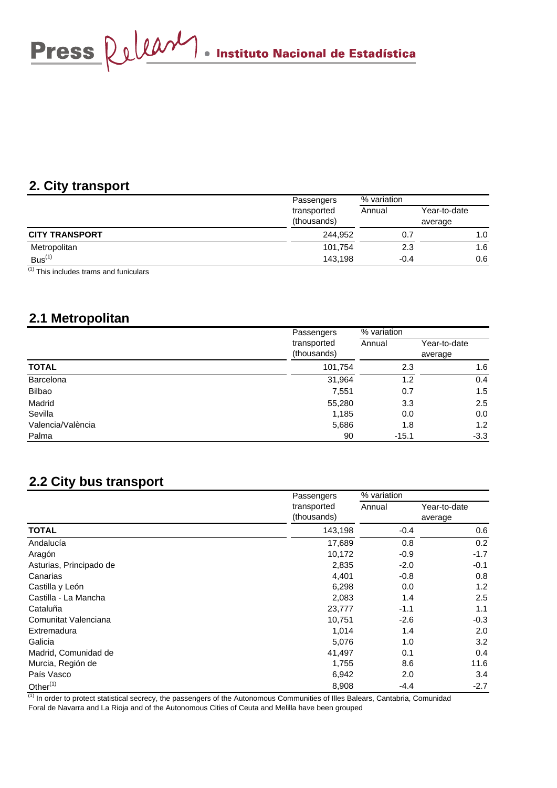Press  $\Omega$ 

# **2. City transport**

|                                  | Passengers                 | % variation |                         |
|----------------------------------|----------------------------|-------------|-------------------------|
|                                  | transported<br>(thousands) | Annual      | Year-to-date<br>average |
| <b>CITY TRANSPORT</b>            | 244.952                    | 0.7         | 1.0                     |
| Metropolitan                     | 101.754                    | 2.3         | 1.6                     |
| Bus <sup>(1)</sup><br>$\sqrt{2}$ | 143.198                    | $-0.4$      | 0.6                     |

 $(1)$  This includes trams and funiculars

# **2.1 Metropolitan**

|                   | Passengers  | % variation |              |
|-------------------|-------------|-------------|--------------|
|                   | transported | Annual      | Year-to-date |
|                   | (thousands) |             | average      |
| <b>TOTAL</b>      | 101,754     | 2.3         | 1.6          |
| Barcelona         | 31,964      | 1.2         | 0.4          |
| Bilbao            | 7,551       | 0.7         | 1.5          |
| Madrid            | 55,280      | 3.3         | 2.5          |
| Sevilla           | 1,185       | 0.0         | 0.0          |
| Valencia/València | 5,686       | 1.8         | 1.2          |
| Palma             | 90          | $-15.1$     | $-3.3$       |

# **2.2 City bus transport**

|                         | Passengers<br>transported<br>(thousands) | % variation |              |
|-------------------------|------------------------------------------|-------------|--------------|
|                         |                                          | Annual      | Year-to-date |
|                         |                                          |             | average      |
| <b>TOTAL</b>            | 143,198                                  | $-0.4$      | 0.6          |
| Andalucía               | 17,689                                   | 0.8         | 0.2          |
| Aragón                  | 10,172                                   | $-0.9$      | $-1.7$       |
| Asturias, Principado de | 2,835                                    | $-2.0$      | $-0.1$       |
| Canarias                | 4,401                                    | $-0.8$      | 0.8          |
| Castilla y León         | 6,298                                    | 0.0         | 1.2          |
| Castilla - La Mancha    | 2,083                                    | 1.4         | 2.5          |
| Cataluña                | 23,777                                   | $-1.1$      | 1.1          |
| Comunitat Valenciana    | 10,751                                   | $-2.6$      | $-0.3$       |
| Extremadura             | 1,014                                    | 1.4         | 2.0          |
| Galicia                 | 5,076                                    | 1.0         | 3.2          |
| Madrid, Comunidad de    | 41,497                                   | 0.1         | 0.4          |
| Murcia, Región de       | 1,755                                    | 8.6         | 11.6         |
| País Vasco              | 6,942                                    | 2.0         | 3.4          |
| Other $(1)$             | 8,908                                    | $-4.4$      | $-2.7$       |

 $<sup>(1)</sup>$  In order to protect statistical secrecy, the passengers of the Autonomous Communities of Illes Balears, Cantabria, Comunidad</sup> Foral de Navarra and La Rioja and of the Autonomous Cities of Ceuta and Melilla have been grouped